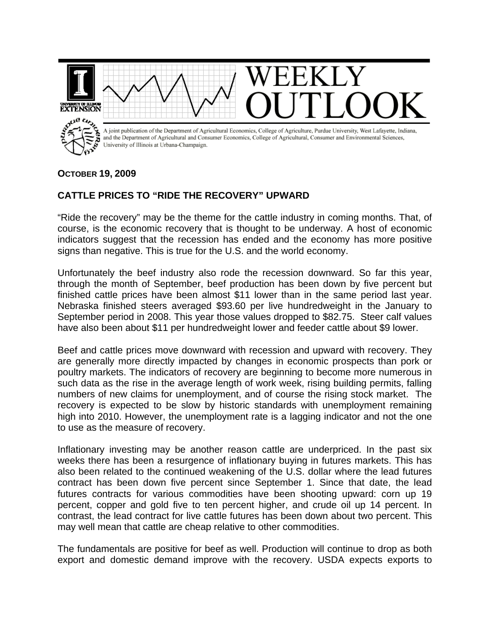

## **OCTOBER 19, 2009**

## **CATTLE PRICES TO "RIDE THE RECOVERY" UPWARD**

"Ride the recovery" may be the theme for the cattle industry in coming months. That, of course, is the economic recovery that is thought to be underway. A host of economic indicators suggest that the recession has ended and the economy has more positive signs than negative. This is true for the U.S. and the world economy.

Unfortunately the beef industry also rode the recession downward. So far this year, through the month of September, beef production has been down by five percent but finished cattle prices have been almost \$11 lower than in the same period last year. Nebraska finished steers averaged \$93.60 per live hundredweight in the January to September period in 2008. This year those values dropped to \$82.75. Steer calf values have also been about \$11 per hundredweight lower and feeder cattle about \$9 lower.

Beef and cattle prices move downward with recession and upward with recovery. They are generally more directly impacted by changes in economic prospects than pork or poultry markets. The indicators of recovery are beginning to become more numerous in such data as the rise in the average length of work week, rising building permits, falling numbers of new claims for unemployment, and of course the rising stock market. The recovery is expected to be slow by historic standards with unemployment remaining high into 2010. However, the unemployment rate is a lagging indicator and not the one to use as the measure of recovery.

Inflationary investing may be another reason cattle are underpriced. In the past six weeks there has been a resurgence of inflationary buying in futures markets. This has also been related to the continued weakening of the U.S. dollar where the lead futures contract has been down five percent since September 1. Since that date, the lead futures contracts for various commodities have been shooting upward: corn up 19 percent, copper and gold five to ten percent higher, and crude oil up 14 percent. In contrast, the lead contract for live cattle futures has been down about two percent. This may well mean that cattle are cheap relative to other commodities.

The fundamentals are positive for beef as well. Production will continue to drop as both export and domestic demand improve with the recovery. USDA expects exports to